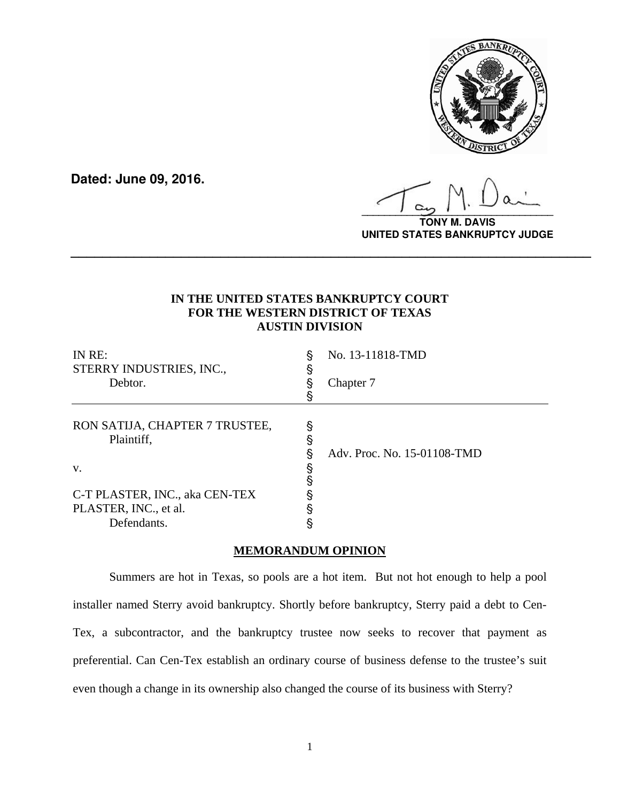

**Dated: June 09, 2016.**

**\_\_\_\_\_\_\_\_\_\_\_\_\_\_\_\_\_\_\_\_\_\_\_\_\_\_\_\_\_\_\_\_\_\_**

**TONY M. DAVIS UNITED STATES BANKRUPTCY JUDGE**

# **IN THE UNITED STATES BANKRUPTCY COURT FOR THE WESTERN DISTRICT OF TEXAS AUSTIN DIVISION**

**\_\_\_\_\_\_\_\_\_\_\_\_\_\_\_\_\_\_\_\_\_\_\_\_\_\_\_\_\_\_\_\_\_\_\_\_\_\_\_\_\_\_\_\_\_\_\_\_\_\_\_\_\_\_\_\_\_\_\_\_\_\_\_\_\_\_**

| IN RE:<br>STERRY INDUSTRIES, INC.,<br>Debtor. | З | No. 13-11818-TMD<br>Chapter 7 |
|-----------------------------------------------|---|-------------------------------|
| RON SATIJA, CHAPTER 7 TRUSTEE,<br>Plaintiff,  | ş | Adv. Proc. No. 15-01108-TMD   |
| V.                                            |   |                               |
| C-T PLASTER, INC., aka CEN-TEX                |   |                               |
| PLASTER, INC., et al.                         |   |                               |
| Defendants.                                   |   |                               |

## **MEMORANDUM OPINION**

Summers are hot in Texas, so pools are a hot item. But not hot enough to help a pool installer named Sterry avoid bankruptcy. Shortly before bankruptcy, Sterry paid a debt to Cen-Tex, a subcontractor, and the bankruptcy trustee now seeks to recover that payment as preferential. Can Cen-Tex establish an ordinary course of business defense to the trustee's suit even though a change in its ownership also changed the course of its business with Sterry?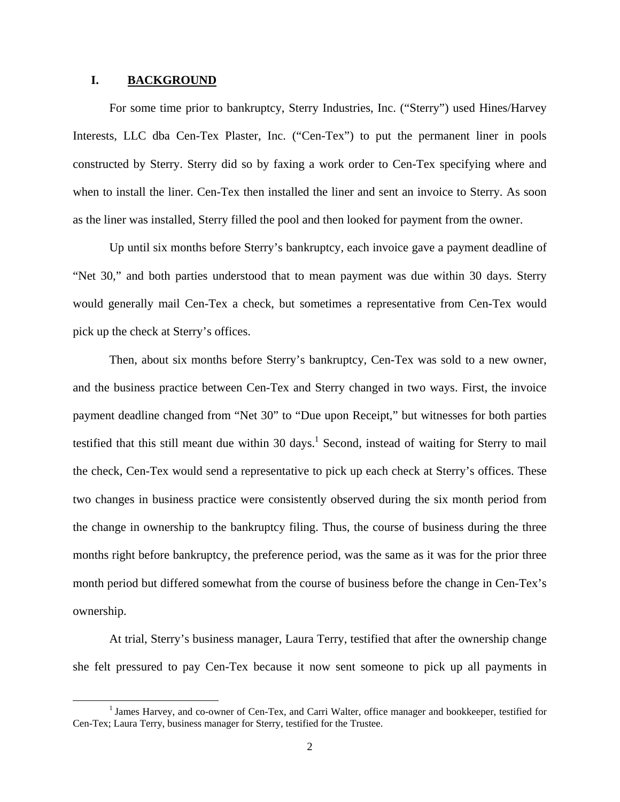#### **I. BACKGROUND**

For some time prior to bankruptcy, Sterry Industries, Inc. ("Sterry") used Hines/Harvey Interests, LLC dba Cen-Tex Plaster, Inc. ("Cen-Tex") to put the permanent liner in pools constructed by Sterry. Sterry did so by faxing a work order to Cen-Tex specifying where and when to install the liner. Cen-Tex then installed the liner and sent an invoice to Sterry. As soon as the liner was installed, Sterry filled the pool and then looked for payment from the owner.

Up until six months before Sterry's bankruptcy, each invoice gave a payment deadline of "Net 30," and both parties understood that to mean payment was due within 30 days. Sterry would generally mail Cen-Tex a check, but sometimes a representative from Cen-Tex would pick up the check at Sterry's offices.

Then, about six months before Sterry's bankruptcy, Cen-Tex was sold to a new owner, and the business practice between Cen-Tex and Sterry changed in two ways. First, the invoice payment deadline changed from "Net 30" to "Due upon Receipt," but witnesses for both parties testified that this still meant due within 30 days.<sup>1</sup> Second, instead of waiting for Sterry to mail the check, Cen-Tex would send a representative to pick up each check at Sterry's offices. These two changes in business practice were consistently observed during the six month period from the change in ownership to the bankruptcy filing. Thus, the course of business during the three months right before bankruptcy, the preference period, was the same as it was for the prior three month period but differed somewhat from the course of business before the change in Cen-Tex's ownership.

At trial, Sterry's business manager, Laura Terry, testified that after the ownership change she felt pressured to pay Cen-Tex because it now sent someone to pick up all payments in

<sup>&</sup>lt;sup>1</sup> James Harvey, and co-owner of Cen-Tex, and Carri Walter, office manager and bookkeeper, testified for Cen-Tex; Laura Terry, business manager for Sterry, testified for the Trustee.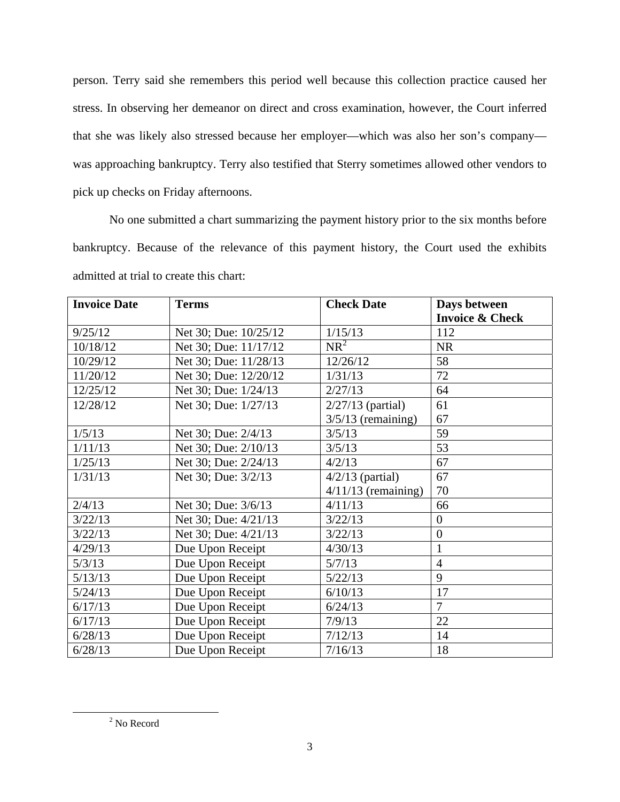person. Terry said she remembers this period well because this collection practice caused her stress. In observing her demeanor on direct and cross examination, however, the Court inferred that she was likely also stressed because her employer—which was also her son's company was approaching bankruptcy. Terry also testified that Sterry sometimes allowed other vendors to pick up checks on Friday afternoons.

No one submitted a chart summarizing the payment history prior to the six months before bankruptcy. Because of the relevance of this payment history, the Court used the exhibits admitted at trial to create this chart:

| <b>Invoice Date</b> | <b>Terms</b>          | <b>Check Date</b>     | Days between               |
|---------------------|-----------------------|-----------------------|----------------------------|
|                     |                       |                       | <b>Invoice &amp; Check</b> |
| 9/25/12             | Net 30; Due: 10/25/12 | 1/15/13               | 112                        |
| 10/18/12            | Net 30; Due: 11/17/12 | $NR^2$                | <b>NR</b>                  |
| 10/29/12            | Net 30; Due: 11/28/13 | 12/26/12              | 58                         |
| 11/20/12            | Net 30; Due: 12/20/12 | 1/31/13               | 72                         |
| 12/25/12            | Net 30; Due: 1/24/13  | 2/27/13               | 64                         |
| 12/28/12            | Net 30; Due: 1/27/13  | $2/27/13$ (partial)   | 61                         |
|                     |                       | $3/5/13$ (remaining)  | 67                         |
| 1/5/13              | Net 30; Due: 2/4/13   | 3/5/13                | 59                         |
| 1/11/13             | Net 30; Due: 2/10/13  | 3/5/13                | 53                         |
| 1/25/13             | Net 30; Due: 2/24/13  | 4/2/13                | 67                         |
| 1/31/13             | Net 30; Due: 3/2/13   | $4/2/13$ (partial)    | 67                         |
|                     |                       | $4/11/13$ (remaining) | 70                         |
| 2/4/13              | Net 30; Due: 3/6/13   | 4/11/13               | 66                         |
| 3/22/13             | Net 30; Due: 4/21/13  | 3/22/13               | $\overline{0}$             |
| 3/22/13             | Net 30; Due: 4/21/13  | 3/22/13               | $\overline{0}$             |
| 4/29/13             | Due Upon Receipt      | 4/30/13               |                            |
| 5/3/13              | Due Upon Receipt      | 5/7/13                | $\overline{4}$             |
| 5/13/13             | Due Upon Receipt      | 5/22/13               | 9                          |
| 5/24/13             | Due Upon Receipt      | 6/10/13               | 17                         |
| 6/17/13             | Due Upon Receipt      | 6/24/13               | $\overline{7}$             |
| 6/17/13             | Due Upon Receipt      | 7/9/13                | 22                         |
| 6/28/13             | Due Upon Receipt      | 7/12/13               | 14                         |
| 6/28/13             | Due Upon Receipt      | 7/16/13               | 18                         |

 $\overline{\phantom{a}}$ <sup>2</sup> No Record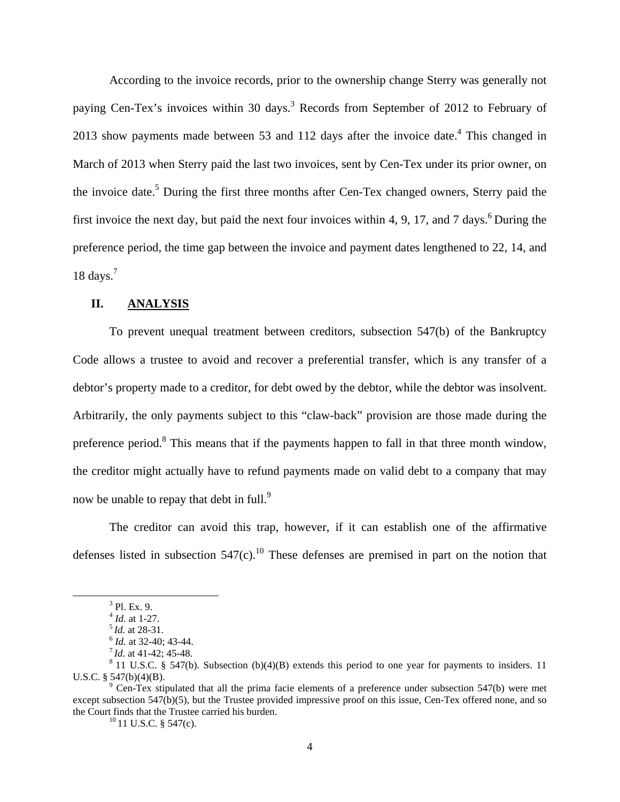According to the invoice records, prior to the ownership change Sterry was generally not paying Cen-Tex's invoices within 30 days.<sup>3</sup> Records from September of 2012 to February of 2013 show payments made between 53 and 112 days after the invoice date.<sup>4</sup> This changed in March of 2013 when Sterry paid the last two invoices, sent by Cen-Tex under its prior owner, on the invoice date.<sup>5</sup> During the first three months after Cen-Tex changed owners, Sterry paid the first invoice the next day, but paid the next four invoices within 4, 9, 17, and 7 days.<sup>6</sup> During the preference period, the time gap between the invoice and payment dates lengthened to 22, 14, and 18 days. $<sup>7</sup>$ </sup>

### **II. ANALYSIS**

To prevent unequal treatment between creditors, subsection 547(b) of the Bankruptcy Code allows a trustee to avoid and recover a preferential transfer, which is any transfer of a debtor's property made to a creditor, for debt owed by the debtor, while the debtor was insolvent. Arbitrarily, the only payments subject to this "claw-back" provision are those made during the preference period.<sup>8</sup> This means that if the payments happen to fall in that three month window, the creditor might actually have to refund payments made on valid debt to a company that may now be unable to repay that debt in full.<sup>9</sup>

The creditor can avoid this trap, however, if it can establish one of the affirmative defenses listed in subsection  $547(c)$ .<sup>10</sup> These defenses are premised in part on the notion that

 <sup>3</sup>  $^{3}$  Pl. Ex. 9.<br> $^{4}$  *Id.* at 1-27.

<sup>&</sup>lt;sup>5</sup> *Id.* at 28-31.<br>
<sup>6</sup> *Id.* at 32-40; 43-44.<br>
<sup>7</sup> *Id.* at 41-42; 45-48.<br>
<sup>8</sup> 11 U.S.C. § 547(b). Subsection (b)(4)(B) extends this period to one year for payments to insiders. 11 U.S.C.  $§$  547(b)(4)(B).

 $^9$  Cen-Tex stipulated that all the prima facie elements of a preference under subsection 547(b) were met except subsection 547(b)(5), but the Trustee provided impressive proof on this issue, Cen-Tex offered none, and so the Court finds that the Trustee carried his burden.<br><sup>10</sup> 11 U.S.C. § 547(c).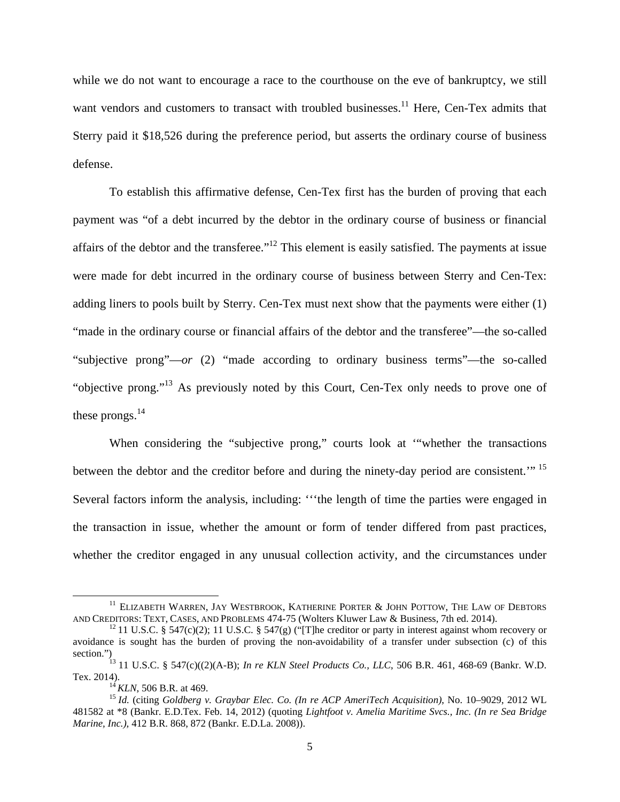while we do not want to encourage a race to the courthouse on the eve of bankruptcy, we still want vendors and customers to transact with troubled businesses.<sup>11</sup> Here, Cen-Tex admits that Sterry paid it \$18,526 during the preference period, but asserts the ordinary course of business defense.

To establish this affirmative defense, Cen-Tex first has the burden of proving that each payment was "of a debt incurred by the debtor in the ordinary course of business or financial affairs of the debtor and the transferee."12 This element is easily satisfied. The payments at issue were made for debt incurred in the ordinary course of business between Sterry and Cen-Tex: adding liners to pools built by Sterry. Cen-Tex must next show that the payments were either (1) "made in the ordinary course or financial affairs of the debtor and the transferee"—the so-called "subjective prong"—*or* (2) "made according to ordinary business terms"—the so-called "objective prong."13 As previously noted by this Court, Cen-Tex only needs to prove one of these prongs. $^{14}$ 

When considering the "subjective prong," courts look at "whether the transactions between the debtor and the creditor before and during the ninety-day period are consistent."<sup>15</sup> Several factors inform the analysis, including: '''the length of time the parties were engaged in the transaction in issue, whether the amount or form of tender differed from past practices, whether the creditor engaged in any unusual collection activity, and the circumstances under

<sup>&</sup>lt;sup>11</sup> ELIZABETH WARREN, JAY WESTBROOK, KATHERINE PORTER & JOHN POTTOW, THE LAW OF DEBTORS AND CREDITORS: TEXT, CASES, AND PROBLEMS 474-75 (Wolters Kluwer Law & Business, 7th ed. 2014).

<sup>&</sup>lt;sup>12</sup> 11 U.S.C. § 547(c)(2); 11 U.S.C. § 547(g) ("[T]he creditor or party in interest against whom recovery or avoidance is sought has the burden of proving the non-avoidability of a transfer under subsection (c) of this

section.")<br>
<sup>13</sup> 11 U.S.C. § 547(c)((2)(A-B); *In re KLN Steel Products Co., LLC*, 506 B.R. 461, 468-69 (Bankr. W.D.<br>
Tex. 2014).<br>
<sup>14</sup> KLN, 506 B.R. at 469.

<sup>&</sup>lt;sup>15</sup> *Id.* (citing *Goldberg v. Graybar Elec. Co. (In re ACP AmeriTech Acquisition)*, No. 10–9029, 2012 WL 481582 at \*8 (Bankr. E.D.Tex. Feb. 14, 2012) (quoting *Lightfoot v. Amelia Maritime Svcs., Inc. (In re Sea Bridge Marine, Inc.),* 412 B.R. 868, 872 (Bankr. E.D.La. 2008)).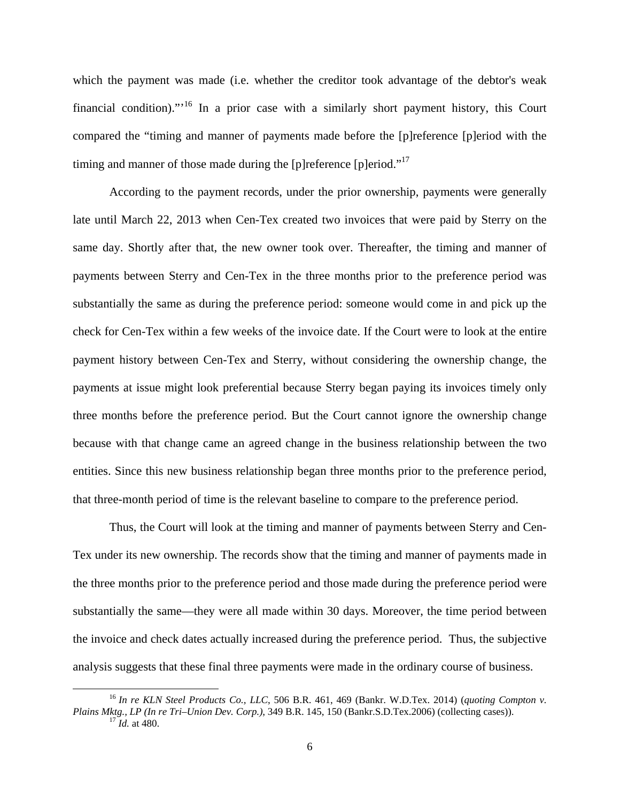which the payment was made (i.e. whether the creditor took advantage of the debtor's weak financial condition)."<sup>16</sup> In a prior case with a similarly short payment history, this Court compared the "timing and manner of payments made before the [p]reference [p]eriod with the timing and manner of those made during the [p]reference [p]eriod." $17$ 

According to the payment records, under the prior ownership, payments were generally late until March 22, 2013 when Cen-Tex created two invoices that were paid by Sterry on the same day. Shortly after that, the new owner took over. Thereafter, the timing and manner of payments between Sterry and Cen-Tex in the three months prior to the preference period was substantially the same as during the preference period: someone would come in and pick up the check for Cen-Tex within a few weeks of the invoice date. If the Court were to look at the entire payment history between Cen-Tex and Sterry, without considering the ownership change, the payments at issue might look preferential because Sterry began paying its invoices timely only three months before the preference period. But the Court cannot ignore the ownership change because with that change came an agreed change in the business relationship between the two entities. Since this new business relationship began three months prior to the preference period, that three-month period of time is the relevant baseline to compare to the preference period.

Thus, the Court will look at the timing and manner of payments between Sterry and Cen-Tex under its new ownership. The records show that the timing and manner of payments made in the three months prior to the preference period and those made during the preference period were substantially the same—they were all made within 30 days. Moreover, the time period between the invoice and check dates actually increased during the preference period. Thus, the subjective analysis suggests that these final three payments were made in the ordinary course of business.

 <sup>16</sup> *In re KLN Steel Products Co., LLC*, 506 B.R. 461, 469 (Bankr. W.D.Tex. 2014) (*quoting Compton v. Plains Mktg., LP (In re Tri–Union Dev. Corp.)*, 349 B.R. 145, 150 (Bankr.S.D.Tex.2006) (collecting cases)). 17 *Id.* at 480.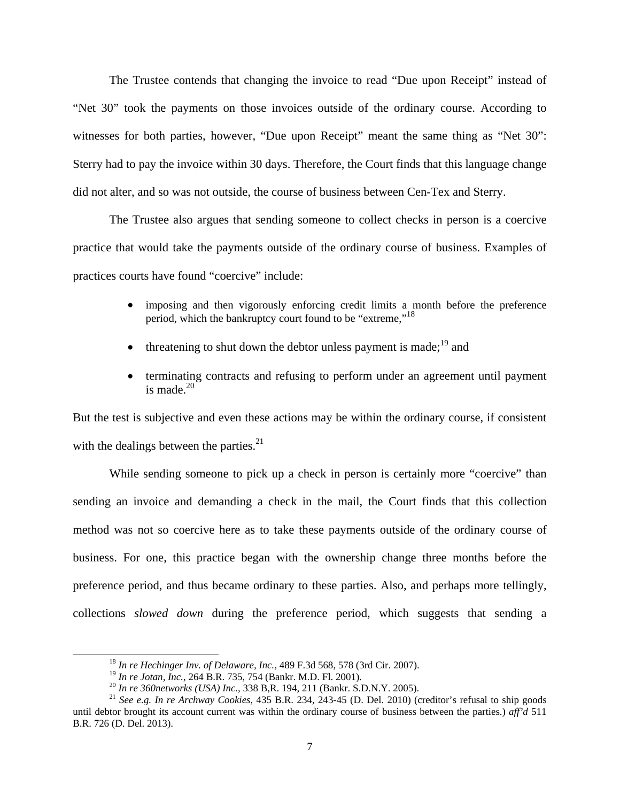The Trustee contends that changing the invoice to read "Due upon Receipt" instead of "Net 30" took the payments on those invoices outside of the ordinary course. According to witnesses for both parties, however, "Due upon Receipt" meant the same thing as "Net 30": Sterry had to pay the invoice within 30 days. Therefore, the Court finds that this language change did not alter, and so was not outside, the course of business between Cen-Tex and Sterry.

The Trustee also argues that sending someone to collect checks in person is a coercive practice that would take the payments outside of the ordinary course of business. Examples of practices courts have found "coercive" include:

- imposing and then vigorously enforcing credit limits a month before the preference period, which the bankruptcy court found to be "extreme,"<sup>18</sup>
- threatening to shut down the debtor unless payment is made;  $^{19}$  and
- terminating contracts and refusing to perform under an agreement until payment is made $20$

But the test is subjective and even these actions may be within the ordinary course, if consistent with the dealings between the parties. $^{21}$ 

While sending someone to pick up a check in person is certainly more "coercive" than sending an invoice and demanding a check in the mail, the Court finds that this collection method was not so coercive here as to take these payments outside of the ordinary course of business. For one, this practice began with the ownership change three months before the preference period, and thus became ordinary to these parties. Also, and perhaps more tellingly, collections *slowed down* during the preference period, which suggests that sending a

<sup>&</sup>lt;sup>18</sup> *In re Hechinger Inv. of Delaware, Inc.*, 489 F.3d 568, 578 (3rd Cir. 2007).<br><sup>19</sup> *In re Jotan, Inc.*, 264 B.R. 735, 754 (Bankr. M.D. Fl. 2001).

<sup>&</sup>lt;sup>20</sup> In re 360networks (USA) Inc., 338 B, R. 194, 211 (Bankr. S.D.N.Y. 2005).<br><sup>21</sup> See e.g. In re Archway Cookies, 435 B.R. 234, 243-45 (D. Del. 2010) (creditor's refusal to ship goods until debtor brought its account current was within the ordinary course of business between the parties.) *aff'd* 511 B.R. 726 (D. Del. 2013).